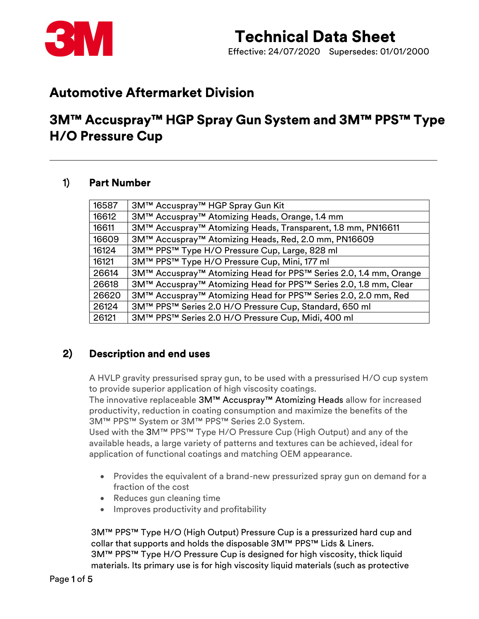

Effective: 24/07/2020 Supersedes: 01/01/2000

### Automotive Aftermarket Division

### 3M™ Accuspray™ HGP Spray Gun System and 3M™ PPS™ Type H/O Pressure Cup

#### 1) Part Number

| 16587 | 3M™ Accuspray™ HGP Spray Gun Kit                                  |
|-------|-------------------------------------------------------------------|
| 16612 | 3M™ Accuspray™ Atomizing Heads, Orange, 1.4 mm                    |
| 16611 | 3M™ Accuspray™ Atomizing Heads, Transparent, 1.8 mm, PN16611      |
| 16609 | 3M™ Accuspray™ Atomizing Heads, Red, 2.0 mm, PN16609              |
| 16124 | 3M™ PPS™ Type H/O Pressure Cup, Large, 828 ml                     |
| 16121 | 3M™ PPS™ Type H/O Pressure Cup, Mini, 177 ml                      |
| 26614 | 3M™ Accuspray™ Atomizing Head for PPS™ Series 2.0, 1.4 mm, Orange |
| 26618 | 3M™ Accuspray™ Atomizing Head for PPS™ Series 2.0, 1.8 mm, Clear  |
| 26620 | 3M™ Accuspray™ Atomizing Head for PPS™ Series 2.0, 2.0 mm, Red    |
| 26124 | 3M™ PPS™ Series 2.0 H/O Pressure Cup, Standard, 650 ml            |
| 26121 | 3M™ PPS™ Series 2.0 H/O Pressure Cup, Midi, 400 ml                |
|       |                                                                   |

#### 2) Description and end uses

A HVLP gravity pressurised spray gun, to be used with a pressurised H/O cup system to provide superior application of high viscosity coatings.

The innovative replaceable 3M™ Accuspray™ Atomizing Heads allow for increased productivity, reduction in coating consumption and maximize the benefits of the 3M™ PPS™ System or 3M™ PPS™ Series 2.0 System.

Used with the 3M™ PPS™ Type H/O Pressure Cup (High Output) and any of the available heads, a large variety of patterns and textures can be achieved, ideal for application of functional coatings and matching OEM appearance.

- Provides the equivalent of a brand-new pressurized spray gun on demand for a fraction of the cost
- Reduces gun cleaning time
- Improves productivity and profitability

3M™ PPS™ Type H/O (High Output) Pressure Cup is a pressurized hard cup and collar that supports and holds the disposable 3M™ PPS™ Lids & Liners. 3M™ PPS™ Type H/O Pressure Cup is designed for high viscosity, thick liquid materials. Its primary use is for high viscosity liquid materials (such as protective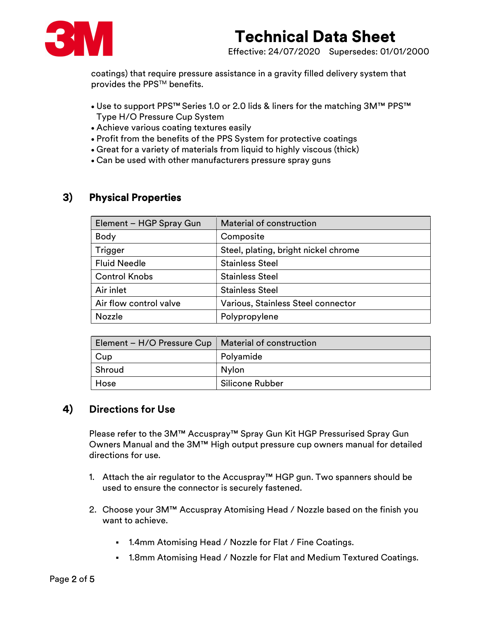

Effective: 24/07/2020 Supersedes: 01/01/2000

coatings) that require pressure assistance in a gravity filled delivery system that provides the PPS™ benefits.

- Use to support PPS™ Series 1.0 or 2.0 lids & liners for the matching 3M™ PPS™ Type H/O Pressure Cup System
- Achieve various coating textures easily
- Profit from the benefits of the PPS System for protective coatings
- Great for a variety of materials from liquid to highly viscous (thick)
- Can be used with other manufacturers pressure spray guns

#### 3) Physical Properties

| Element - HGP Spray Gun | Material of construction             |  |
|-------------------------|--------------------------------------|--|
| <b>Body</b>             | Composite                            |  |
| Trigger                 | Steel, plating, bright nickel chrome |  |
| <b>Fluid Needle</b>     | <b>Stainless Steel</b>               |  |
| <b>Control Knobs</b>    | <b>Stainless Steel</b>               |  |
| Air inlet               | <b>Stainless Steel</b>               |  |
| Air flow control valve  | Various, Stainless Steel connector   |  |
| <b>Nozzle</b>           | Polypropylene                        |  |

| Element – H/O Pressure Cup   Material of construction |                        |
|-------------------------------------------------------|------------------------|
| Cup                                                   | Polyamide              |
| Shroud                                                | Nylon                  |
| Hose                                                  | <b>Silicone Rubber</b> |

#### 4) Directions for Use

Please refer to the 3M™ Accuspray™ Spray Gun Kit HGP Pressurised Spray Gun Owners Manual and the 3M™ High output pressure cup owners manual for detailed directions for use.

- 1. Attach the air regulator to the Accuspray™ HGP gun. Two spanners should be used to ensure the connector is securely fastened.
- 2. Choose your 3M™ Accuspray Atomising Head / Nozzle based on the finish you want to achieve.
	- 1.4mm Atomising Head / Nozzle for Flat / Fine Coatings.
	- 1.8mm Atomising Head / Nozzle for Flat and Medium Textured Coatings.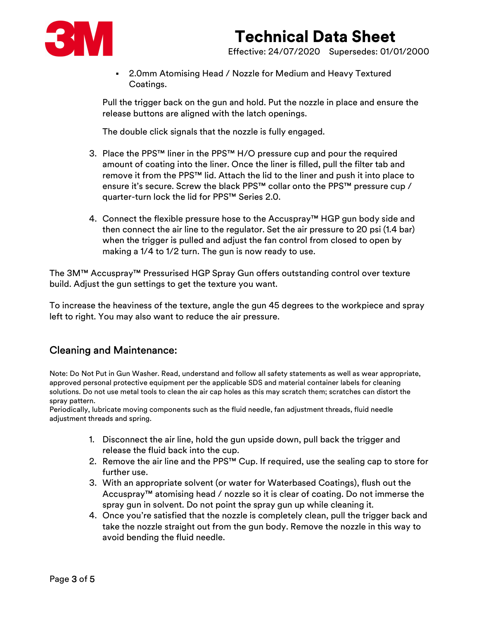

Effective: 24/07/2020 Supersedes: 01/01/2000

 2.0mm Atomising Head / Nozzle for Medium and Heavy Textured Coatings.

Pull the trigger back on the gun and hold. Put the nozzle in place and ensure the release buttons are aligned with the latch openings.

The double click signals that the nozzle is fully engaged.

- 3. Place the PPS™ liner in the PPS™ H/O pressure cup and pour the required amount of coating into the liner. Once the liner is filled, pull the filter tab and remove it from the PPS™ lid. Attach the lid to the liner and push it into place to ensure it's secure. Screw the black PPS™ collar onto the PPS™ pressure cup / quarter-turn lock the lid for PPS™ Series 2.0.
- 4. Connect the flexible pressure hose to the Accuspray™ HGP gun body side and then connect the air line to the regulator. Set the air pressure to 20 psi (1.4 bar) when the trigger is pulled and adjust the fan control from closed to open by making a 1/4 to 1/2 turn. The gun is now ready to use.

The 3M™ Accuspray™ Pressurised HGP Spray Gun offers outstanding control over texture build. Adjust the gun settings to get the texture you want.

To increase the heaviness of the texture, angle the gun 45 degrees to the workpiece and spray left to right. You may also want to reduce the air pressure.

#### Cleaning and Maintenance:

Note: Do Not Put in Gun Washer. Read, understand and follow all safety statements as well as wear appropriate, approved personal protective equipment per the applicable SDS and material container labels for cleaning solutions. Do not use metal tools to clean the air cap holes as this may scratch them; scratches can distort the spray pattern.

Periodically, lubricate moving components such as the fluid needle, fan adjustment threads, fluid needle adjustment threads and spring.

- 1. Disconnect the air line, hold the gun upside down, pull back the trigger and release the fluid back into the cup.
- 2. Remove the air line and the PPS™ Cup. If required, use the sealing cap to store for further use.
- 3. With an appropriate solvent (or water for Waterbased Coatings), flush out the Accuspray™ atomising head / nozzle so it is clear of coating. Do not immerse the spray gun in solvent. Do not point the spray gun up while cleaning it.
- 4. Once you're satisfied that the nozzle is completely clean, pull the trigger back and take the nozzle straight out from the gun body. Remove the nozzle in this way to avoid bending the fluid needle.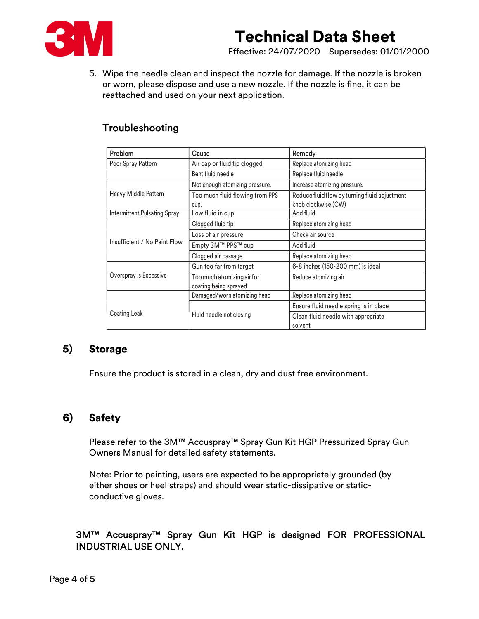

Effective: 24/07/2020 Supersedes: 01/01/2000

5. Wipe the needle clean and inspect the nozzle for damage. If the nozzle is broken or worn, please dispose and use a new nozzle. If the nozzle is fine, it can be reattached and used on your next application.

#### Troubleshooting

| Problem                             | Cause                                               | Remedy                                                               |
|-------------------------------------|-----------------------------------------------------|----------------------------------------------------------------------|
| Poor Spray Pattern                  | Air cap or fluid tip clogged                        | Replace atomizing head                                               |
|                                     | Bent fluid needle                                   | Replace fluid needle                                                 |
|                                     | Not enough atomizing pressure.                      | Increase atomizing pressure.                                         |
| Heavy Middle Pattern                | Too much fluid flowing from PPS<br>cup.             | Reduce fluid flow by turning fluid adjustment<br>knob clockwise (CW) |
| <b>Intermittent Pulsating Spray</b> | Low fluid in cup                                    | Add fluid                                                            |
|                                     | Clogged fluid tip                                   | Replace atomizing head                                               |
|                                     | Loss of air pressure                                | Check air source                                                     |
| Insufficient / No Paint Flow        | Empty 3M™ PPS™ cup                                  | Add fluid                                                            |
|                                     | Clogged air passage                                 | Replace atomizing head                                               |
|                                     | Gun too far from target                             | 6-8 inches (150-200 mm) is ideal                                     |
| Overspray is Excessive              | Too much atomizing air for<br>coating being sprayed | Reduce atomizing air                                                 |
|                                     | Damaged/worn atomizing head                         | Replace atomizing head                                               |
|                                     |                                                     | Ensure fluid needle spring is in place                               |
| Coating Leak                        | Fluid needle not closing                            | Clean fluid needle with appropriate<br>solvent                       |

#### 5) Storage

Ensure the product is stored in a clean, dry and dust free environment.

#### 6) Safety

Please refer to the 3M™ Accuspray™ Spray Gun Kit HGP Pressurized Spray Gun Owners Manual for detailed safety statements.

Note: Prior to painting, users are expected to be appropriately grounded (by either shoes or heel straps) and should wear static-dissipative or staticconductive gloves.

#### 3M™ Accuspray™ Spray Gun Kit HGP is designed FOR PROFESSIONAL INDUSTRIAL USE ONLY.